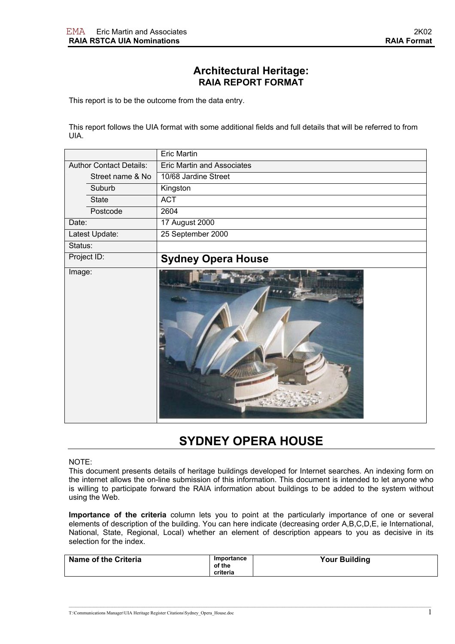## **Architectural Heritage: RAIA REPORT FORMAT**

This report is to be the outcome from the data entry.

This report follows the UIA format with some additional fields and full details that will be referred to from UIA.

|                                | Eric Martin                       |
|--------------------------------|-----------------------------------|
| <b>Author Contact Details:</b> | <b>Eric Martin and Associates</b> |
| Street name & No               | 10/68 Jardine Street              |
| Suburb                         | Kingston                          |
| State                          | <b>ACT</b>                        |
| Postcode                       | 2604                              |
| Date:                          | 17 August 2000                    |
| Latest Update:                 | 25 September 2000                 |
| Status:                        |                                   |
| Project ID:                    | <b>Sydney Opera House</b>         |
| Image:                         |                                   |

## **SYDNEY OPERA HOUSE**

## NOTE:

This document presents details of heritage buildings developed for Internet searches. An indexing form on the internet allows the on-line submission of this information. This document is intended to let anyone who is willing to participate forward the RAIA information about buildings to be added to the system without using the Web.

**Importance of the criteria** column lets you to point at the particularly importance of one or several elements of description of the building. You can here indicate (decreasing order A,B,C,D,E, ie International, National, State, Regional, Local) whether an element of description appears to you as decisive in its selection for the index

| Name of the Criteria | Importance<br>of the | <b>Your Building</b> |
|----------------------|----------------------|----------------------|
|                      | criteria             |                      |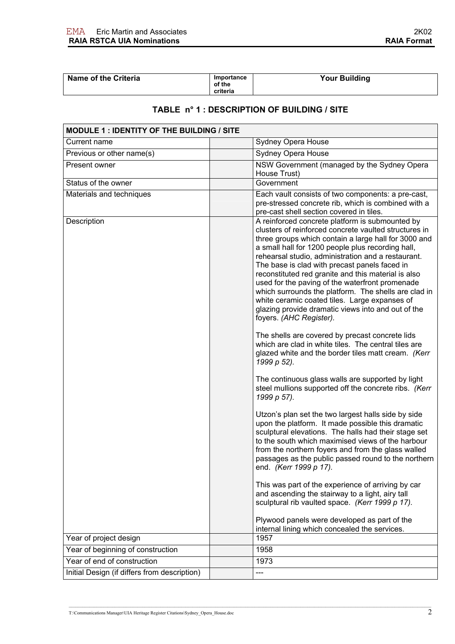| <b>Name of the Criteria</b>                                                 | Importance<br>of the<br>criteria | <b>Your Building</b>                                                                                                                                                                                                                                                                                                                                                                                                                                                                                                                                                                                                             |  |
|-----------------------------------------------------------------------------|----------------------------------|----------------------------------------------------------------------------------------------------------------------------------------------------------------------------------------------------------------------------------------------------------------------------------------------------------------------------------------------------------------------------------------------------------------------------------------------------------------------------------------------------------------------------------------------------------------------------------------------------------------------------------|--|
| TABLE n° 1 : DESCRIPTION OF BUILDING / SITE                                 |                                  |                                                                                                                                                                                                                                                                                                                                                                                                                                                                                                                                                                                                                                  |  |
| MODULE 1 : IDENTITY OF THE BUILDING / SITE                                  |                                  |                                                                                                                                                                                                                                                                                                                                                                                                                                                                                                                                                                                                                                  |  |
| Current name                                                                |                                  | Sydney Opera House                                                                                                                                                                                                                                                                                                                                                                                                                                                                                                                                                                                                               |  |
| Previous or other name(s)                                                   |                                  | <b>Sydney Opera House</b>                                                                                                                                                                                                                                                                                                                                                                                                                                                                                                                                                                                                        |  |
| Present owner                                                               |                                  | NSW Government (managed by the Sydney Opera<br>House Trust)                                                                                                                                                                                                                                                                                                                                                                                                                                                                                                                                                                      |  |
| Status of the owner                                                         |                                  | Government                                                                                                                                                                                                                                                                                                                                                                                                                                                                                                                                                                                                                       |  |
| Materials and techniques                                                    |                                  | Each vault consists of two components: a pre-cast,<br>pre-stressed concrete rib, which is combined with a<br>pre-cast shell section covered in tiles.                                                                                                                                                                                                                                                                                                                                                                                                                                                                            |  |
| Description                                                                 |                                  | A reinforced concrete platform is submounted by<br>clusters of reinforced concrete vaulted structures in<br>three groups which contain a large hall for 3000 and<br>a small hall for 1200 people plus recording hall,<br>rehearsal studio, administration and a restaurant.<br>The base is clad with precast panels faced in<br>reconstituted red granite and this material is also<br>used for the paving of the waterfront promenade<br>which surrounds the platform. The shells are clad in<br>white ceramic coated tiles. Large expanses of<br>glazing provide dramatic views into and out of the<br>foyers. (AHC Register). |  |
|                                                                             |                                  | The shells are covered by precast concrete lids<br>which are clad in white tiles. The central tiles are<br>glazed white and the border tiles matt cream. (Kerr<br>1999 p 52).                                                                                                                                                                                                                                                                                                                                                                                                                                                    |  |
|                                                                             |                                  | The continuous glass walls are supported by light<br>steel mullions supported off the concrete ribs. (Kerr<br>1999 p 57).                                                                                                                                                                                                                                                                                                                                                                                                                                                                                                        |  |
|                                                                             |                                  | Utzon's plan set the two largest halls side by side<br>upon the platform. It made possible this dramatic<br>sculptural elevations. The halls had their stage set<br>to the south which maximised views of the harbour<br>from the northern foyers and from the glass walled<br>passages as the public passed round to the northern<br>end. (Kerr 1999 p 17).                                                                                                                                                                                                                                                                     |  |
|                                                                             |                                  | This was part of the experience of arriving by car<br>and ascending the stairway to a light, airy tall<br>sculptural rib vaulted space. (Kerr 1999 p 17).                                                                                                                                                                                                                                                                                                                                                                                                                                                                        |  |
|                                                                             |                                  | Plywood panels were developed as part of the<br>internal lining which concealed the services.                                                                                                                                                                                                                                                                                                                                                                                                                                                                                                                                    |  |
| Year of project design                                                      |                                  | 1957                                                                                                                                                                                                                                                                                                                                                                                                                                                                                                                                                                                                                             |  |
| Year of beginning of construction                                           |                                  | 1958                                                                                                                                                                                                                                                                                                                                                                                                                                                                                                                                                                                                                             |  |
| Year of end of construction<br>Initial Design (if differs from description) |                                  | 1973<br>---                                                                                                                                                                                                                                                                                                                                                                                                                                                                                                                                                                                                                      |  |
|                                                                             |                                  |                                                                                                                                                                                                                                                                                                                                                                                                                                                                                                                                                                                                                                  |  |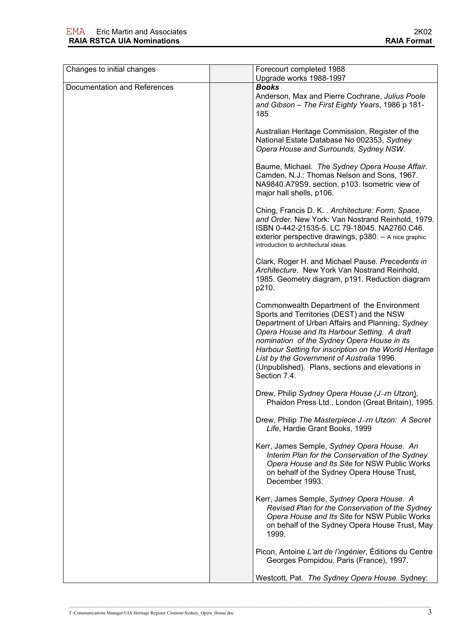| Changes to initial changes   | Forecourt completed 1988<br>Upgrade works 1988-1997                                                                                                                                                                                                                                                                                                                                                                  |
|------------------------------|----------------------------------------------------------------------------------------------------------------------------------------------------------------------------------------------------------------------------------------------------------------------------------------------------------------------------------------------------------------------------------------------------------------------|
| Documentation and References | <b>Books</b><br>Anderson, Max and Pierre Cochrane, Julius Poole<br>and Gibson - The First Eighty Years, 1986 p 181-<br>185                                                                                                                                                                                                                                                                                           |
|                              | Australian Heritage Commission, Register of the<br>National Estate Database No 002353, Sydney<br>Opera House and Surrounds, Sydney NSW.                                                                                                                                                                                                                                                                              |
|                              | Baume, Michael. The Sydney Opera House Affair.<br>Camden, N.J.: Thomas Nelson and Sons, 1967.<br>NA9840.A79S9. section, p103. Isometric view of<br>major hall shells, p106.                                                                                                                                                                                                                                          |
|                              | Ching, Francis D. K. . Architecture: Form, Space,<br>and Order. New York: Van Nostrand Reinhold, 1979.<br>ISBN 0-442-21535-5. LC 79-18045. NA2760.C46.<br>exterior perspective drawings, p380. - A nice graphic<br>introduction to architectural ideas.                                                                                                                                                              |
|                              | Clark, Roger H. and Michael Pause. Precedents in<br>Architecture. New York Van Nostrand Reinhold,<br>1985. Geometry diagram, p191. Reduction diagram<br>p210.                                                                                                                                                                                                                                                        |
|                              | Commonwealth Department of the Environment<br>Sports and Territories (DEST) and the NSW<br>Department of Urban Affairs and Planning, Sydney<br>Opera House and Its Harbour Setting. A draft<br>nomination of the Sydney Opera House in its<br>Harbour Setting for inscription on the World Heritage<br>List by the Government of Australia 1996.<br>(Unpublished). Plans, sections and elevations in<br>Section 7.4. |
|                              | Drew, Philip Sydney Opera House (J-rn Utzon),<br>Phaidon Press Ltd., London (Great Britain), 1995.                                                                                                                                                                                                                                                                                                                   |
|                              | Drew, Philip The Masterpiece J-m Utzon: A Secret<br>Life, Hardie Grant Books, 1999                                                                                                                                                                                                                                                                                                                                   |
|                              | Kerr, James Semple, Sydney Opera House. An<br>Interim Plan for the Conservation of the Sydney<br>Opera House and Its Site for NSW Public Works<br>on behalf of the Sydney Opera House Trust,<br>December 1993.                                                                                                                                                                                                       |
|                              | Kerr, James Semple, Sydney Opera House. A<br>Revised Plan for the Conservation of the Sydney<br>Opera House and Its Site for NSW Public Works<br>on behalf of the Sydney Opera House Trust, May<br>1999.                                                                                                                                                                                                             |
|                              | Picon, Antoine L'art de l'ingénier, Éditions du Centre<br>Georges Pompidou, Paris (France), 1997.                                                                                                                                                                                                                                                                                                                    |
|                              | Westcott, Pat. The Sydney Opera House. Sydney:                                                                                                                                                                                                                                                                                                                                                                       |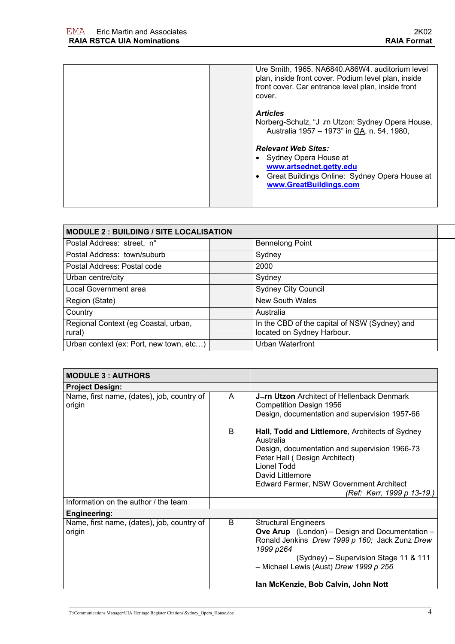| Ure Smith, 1965. NA6840.A86W4. auditorium level<br>plan, inside front cover. Podium level plan, inside<br>front cover. Car entrance level plan, inside front<br>cover. |
|------------------------------------------------------------------------------------------------------------------------------------------------------------------------|
| <b>Articles</b><br>Norberg-Schulz, "J-rn Utzon: Sydney Opera House,<br>Australia 1957 - 1973" in GA, n. 54, 1980,                                                      |
| <b>Relevant Web Sites:</b><br>Sydney Opera House at<br>www.artsednet.getty.edu<br>Great Buildings Online: Sydney Opera House at<br>www.GreatBuildings.com              |

| <b>MODULE 2: BUILDING / SITE LOCALISATION</b>  |                                                                             |  |
|------------------------------------------------|-----------------------------------------------------------------------------|--|
| Postal Address: street, n°                     | <b>Bennelong Point</b>                                                      |  |
| Postal Address: town/suburb                    | Sydney                                                                      |  |
| Postal Address: Postal code                    | 2000                                                                        |  |
| Urban centre/city                              | Sydney                                                                      |  |
| Local Government area                          | <b>Sydney City Council</b>                                                  |  |
| Region (State)                                 | <b>New South Wales</b>                                                      |  |
| Country                                        | Australia                                                                   |  |
| Regional Context (eg Coastal, urban,<br>rural) | In the CBD of the capital of NSW (Sydney) and<br>located on Sydney Harbour. |  |
| Urban context (ex: Port, new town, etc)        | <b>Urban Waterfront</b>                                                     |  |

| <b>MODULE 3 : AUTHORS</b>                            |   |                                                                                                                                                                                                                                                                               |  |
|------------------------------------------------------|---|-------------------------------------------------------------------------------------------------------------------------------------------------------------------------------------------------------------------------------------------------------------------------------|--|
| <b>Project Design:</b>                               |   |                                                                                                                                                                                                                                                                               |  |
| Name, first name, (dates), job, country of<br>origin | A | J <sub>T</sub> rn Utzon Architect of Hellenback Denmark<br>Competition Design 1956<br>Design, documentation and supervision 1957-66                                                                                                                                           |  |
|                                                      | B | Hall, Todd and Littlemore, Architects of Sydney<br>Australia<br>Design, documentation and supervision 1966-73<br>Peter Hall (Design Architect)<br>Lionel Todd<br>David Littlemore<br><b>Edward Farmer, NSW Government Architect</b><br>(Ref: Kerr, 1999 p 13-19.)             |  |
| Information on the author / the team                 |   |                                                                                                                                                                                                                                                                               |  |
| <b>Engineering:</b>                                  |   |                                                                                                                                                                                                                                                                               |  |
| Name, first name, (dates), job, country of<br>origin | B | <b>Structural Engineers</b><br><b>Ove Arup</b> (London) – Design and Documentation –<br>Ronald Jenkins Drew 1999 p 160; Jack Zunz Drew<br>1999 p264<br>(Sydney) - Supervision Stage 11 & 111<br>- Michael Lewis (Aust) Drew 1999 p 256<br>Ian McKenzie, Bob Calvin, John Nott |  |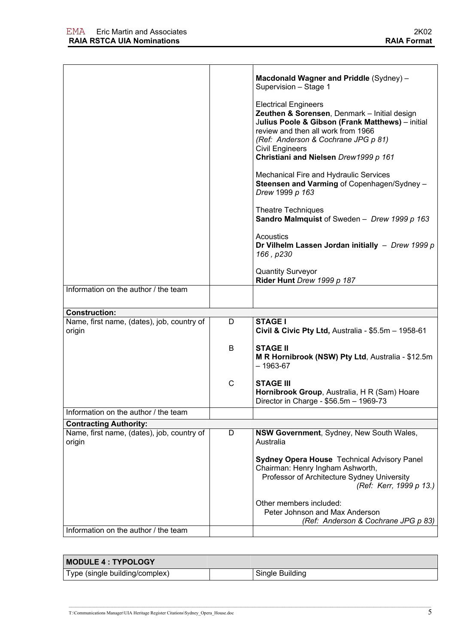|                                                      |              | Macdonald Wagner and Priddle (Sydney) -<br>Supervision - Stage 1                                                                                                                                                                                                                |
|------------------------------------------------------|--------------|---------------------------------------------------------------------------------------------------------------------------------------------------------------------------------------------------------------------------------------------------------------------------------|
|                                                      |              | <b>Electrical Engineers</b><br>Zeuthen & Sorensen, Denmark - Initial design<br>Julius Poole & Gibson (Frank Matthews) - initial<br>review and then all work from 1966<br>(Ref: Anderson & Cochrane JPG p 81)<br><b>Civil Engineers</b><br>Christiani and Nielsen Drew1999 p 161 |
|                                                      |              | Mechanical Fire and Hydraulic Services<br>Steensen and Varming of Copenhagen/Sydney -<br>Drew 1999 p 163                                                                                                                                                                        |
|                                                      |              | <b>Theatre Techniques</b><br>Sandro Malmquist of Sweden - Drew 1999 p 163                                                                                                                                                                                                       |
|                                                      |              | <b>Acoustics</b><br>Dr Vilhelm Lassen Jordan initially - Drew 1999 $p$<br>166, p230                                                                                                                                                                                             |
|                                                      |              | <b>Quantity Surveyor</b><br>Rider Hunt Drew 1999 p 187                                                                                                                                                                                                                          |
| Information on the author / the team                 |              |                                                                                                                                                                                                                                                                                 |
| <b>Construction:</b>                                 |              |                                                                                                                                                                                                                                                                                 |
| Name, first name, (dates), job, country of<br>origin | D            | <b>STAGE I</b><br>Civil & Civic Pty Ltd, Australia - \$5.5m - 1958-61                                                                                                                                                                                                           |
|                                                      | B            | <b>STAGE II</b><br>M R Hornibrook (NSW) Pty Ltd, Australia - \$12.5m<br>$-1963-67$                                                                                                                                                                                              |
|                                                      | $\mathsf{C}$ | <b>STAGE III</b><br>Hornibrook Group, Australia, H R (Sam) Hoare<br>Director in Charge - \$56.5m - 1969-73                                                                                                                                                                      |
| Information on the author / the team                 |              |                                                                                                                                                                                                                                                                                 |
| <b>Contracting Authority:</b>                        |              |                                                                                                                                                                                                                                                                                 |
| Name, first name, (dates), job, country of<br>origin | D            | NSW Government, Sydney, New South Wales,<br>Australia                                                                                                                                                                                                                           |
|                                                      |              | <b>Sydney Opera House Technical Advisory Panel</b><br>Chairman: Henry Ingham Ashworth,<br>Professor of Architecture Sydney University<br>(Ref: Kerr, 1999 p 13.)                                                                                                                |
| Information on the author / the team                 |              | Other members included:<br>Peter Johnson and Max Anderson<br>(Ref: Anderson & Cochrane JPG p 83)                                                                                                                                                                                |
|                                                      |              |                                                                                                                                                                                                                                                                                 |

| MODULE 4 : TYPOLOGY            |                 |
|--------------------------------|-----------------|
| Type (single building/complex) | Single Building |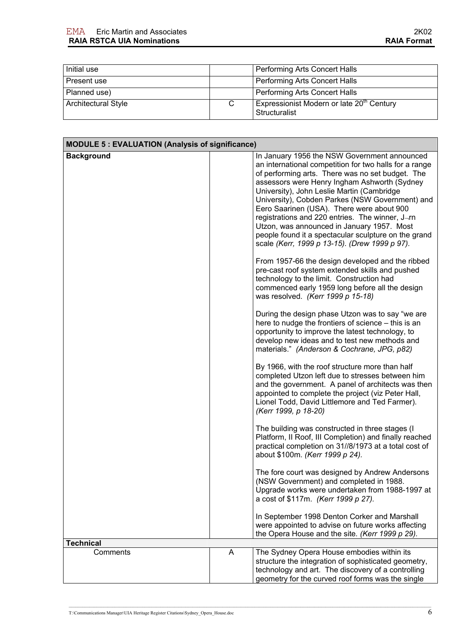| Initial use                |   | Performing Arts Concert Halls                                          |
|----------------------------|---|------------------------------------------------------------------------|
| Present use                |   | Performing Arts Concert Halls                                          |
| Planned use)               |   | Performing Arts Concert Halls                                          |
| <b>Architectural Style</b> | C | Expressionist Modern or late 20 <sup>th</sup> Century<br>Structuralist |

| <b>MODULE 5: EVALUATION (Analysis of significance)</b> |   |                                                                                                                                                                                                                                                                                                                                                                                                                                                                                                                                                                                                                                                                                                                                                                                                                                                                                                                                                                                                                                                                                                                                                                                                                                                                                                                                                                                                                               |
|--------------------------------------------------------|---|-------------------------------------------------------------------------------------------------------------------------------------------------------------------------------------------------------------------------------------------------------------------------------------------------------------------------------------------------------------------------------------------------------------------------------------------------------------------------------------------------------------------------------------------------------------------------------------------------------------------------------------------------------------------------------------------------------------------------------------------------------------------------------------------------------------------------------------------------------------------------------------------------------------------------------------------------------------------------------------------------------------------------------------------------------------------------------------------------------------------------------------------------------------------------------------------------------------------------------------------------------------------------------------------------------------------------------------------------------------------------------------------------------------------------------|
| <b>Background</b>                                      |   | In January 1956 the NSW Government announced<br>an international competition for two halls for a range<br>of performing arts. There was no set budget. The<br>assessors were Henry Ingham Ashworth (Sydney<br>University), John Leslie Martin (Cambridge<br>University), Cobden Parkes (NSW Government) and<br>Eero Saarinen (USA). There were about 900<br>registrations and 220 entries. The winner, J-rn<br>Utzon, was announced in January 1957. Most<br>people found it a spectacular sculpture on the grand<br>scale (Kerr, 1999 p 13-15). (Drew 1999 p 97).<br>From 1957-66 the design developed and the ribbed<br>pre-cast roof system extended skills and pushed<br>technology to the limit. Construction had<br>commenced early 1959 long before all the design<br>was resolved. (Kerr 1999 p 15-18)<br>During the design phase Utzon was to say "we are<br>here to nudge the frontiers of science - this is an<br>opportunity to improve the latest technology, to<br>develop new ideas and to test new methods and<br>materials." (Anderson & Cochrane, JPG, p82)<br>By 1966, with the roof structure more than half<br>completed Utzon left due to stresses between him<br>and the government. A panel of architects was then<br>appointed to complete the project (viz Peter Hall,<br>Lionel Todd, David Littlemore and Ted Farmer).<br>(Kerr 1999, p 18-20)<br>The building was constructed in three stages (I |
|                                                        |   | Platform, II Roof, III Completion) and finally reached<br>practical completion on 31//8/1973 at a total cost of<br>about \$100m. (Kerr 1999 p 24).                                                                                                                                                                                                                                                                                                                                                                                                                                                                                                                                                                                                                                                                                                                                                                                                                                                                                                                                                                                                                                                                                                                                                                                                                                                                            |
|                                                        |   | The fore court was designed by Andrew Andersons<br>(NSW Government) and completed in 1988.<br>Upgrade works were undertaken from 1988-1997 at<br>a cost of \$117m. (Kerr 1999 p 27).                                                                                                                                                                                                                                                                                                                                                                                                                                                                                                                                                                                                                                                                                                                                                                                                                                                                                                                                                                                                                                                                                                                                                                                                                                          |
|                                                        |   | In September 1998 Denton Corker and Marshall<br>were appointed to advise on future works affecting<br>the Opera House and the site. (Kerr 1999 p 29).                                                                                                                                                                                                                                                                                                                                                                                                                                                                                                                                                                                                                                                                                                                                                                                                                                                                                                                                                                                                                                                                                                                                                                                                                                                                         |
| <b>Technical</b>                                       |   |                                                                                                                                                                                                                                                                                                                                                                                                                                                                                                                                                                                                                                                                                                                                                                                                                                                                                                                                                                                                                                                                                                                                                                                                                                                                                                                                                                                                                               |
| Comments                                               | A | The Sydney Opera House embodies within its<br>structure the integration of sophisticated geometry,<br>technology and art. The discovery of a controlling<br>geometry for the curved roof forms was the single                                                                                                                                                                                                                                                                                                                                                                                                                                                                                                                                                                                                                                                                                                                                                                                                                                                                                                                                                                                                                                                                                                                                                                                                                 |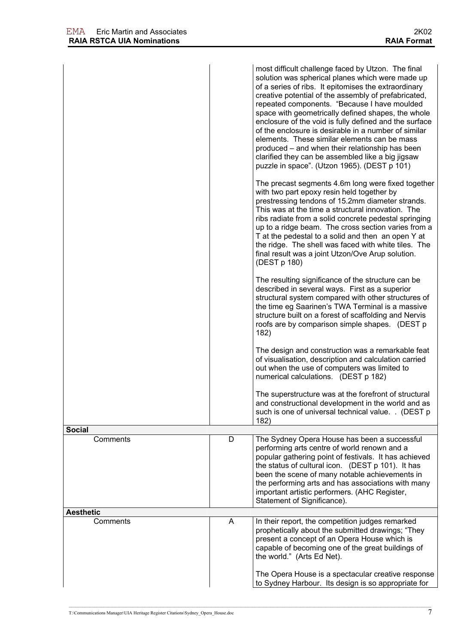|                  |   | most difficult challenge faced by Utzon. The final<br>solution was spherical planes which were made up<br>of a series of ribs. It epitomises the extraordinary<br>creative potential of the assembly of prefabricated,<br>repeated components. "Because I have moulded<br>space with geometrically defined shapes, the whole<br>enclosure of the void is fully defined and the surface<br>of the enclosure is desirable in a number of similar<br>elements. These similar elements can be mass<br>produced – and when their relationship has been<br>clarified they can be assembled like a big jigsaw<br>puzzle in space". (Utzon 1965). (DEST p 101)<br>The precast segments 4.6m long were fixed together<br>with two part epoxy resin held together by<br>prestressing tendons of 15.2mm diameter strands.<br>This was at the time a structural innovation. The<br>ribs radiate from a solid concrete pedestal springing<br>up to a ridge beam. The cross section varies from a<br>T at the pedestal to a solid and then an open Y at<br>the ridge. The shell was faced with white tiles. The<br>final result was a joint Utzon/Ove Arup solution.<br>(DEST p 180)<br>The resulting significance of the structure can be<br>described in several ways. First as a superior<br>structural system compared with other structures of<br>the time eg Saarinen's TWA Terminal is a massive<br>structure built on a forest of scaffolding and Nervis<br>roofs are by comparison simple shapes. (DEST p)<br>182)<br>The design and construction was a remarkable feat<br>of visualisation, description and calculation carried<br>out when the use of computers was limited to<br>numerical calculations. (DEST p 182) |
|------------------|---|---------------------------------------------------------------------------------------------------------------------------------------------------------------------------------------------------------------------------------------------------------------------------------------------------------------------------------------------------------------------------------------------------------------------------------------------------------------------------------------------------------------------------------------------------------------------------------------------------------------------------------------------------------------------------------------------------------------------------------------------------------------------------------------------------------------------------------------------------------------------------------------------------------------------------------------------------------------------------------------------------------------------------------------------------------------------------------------------------------------------------------------------------------------------------------------------------------------------------------------------------------------------------------------------------------------------------------------------------------------------------------------------------------------------------------------------------------------------------------------------------------------------------------------------------------------------------------------------------------------------------------------------------------------------------------------------------------------------|
|                  |   | The superstructure was at the forefront of structural<br>and constructional development in the world and as<br>such is one of universal technical value. . (DEST p<br>182)                                                                                                                                                                                                                                                                                                                                                                                                                                                                                                                                                                                                                                                                                                                                                                                                                                                                                                                                                                                                                                                                                                                                                                                                                                                                                                                                                                                                                                                                                                                                          |
| Social           |   |                                                                                                                                                                                                                                                                                                                                                                                                                                                                                                                                                                                                                                                                                                                                                                                                                                                                                                                                                                                                                                                                                                                                                                                                                                                                                                                                                                                                                                                                                                                                                                                                                                                                                                                     |
| Comments         | D | The Sydney Opera House has been a successful<br>performing arts centre of world renown and a<br>popular gathering point of festivals. It has achieved<br>the status of cultural icon. (DEST p 101). It has<br>been the scene of many notable achievements in<br>the performing arts and has associations with many<br>important artistic performers. (AHC Register,<br>Statement of Significance).                                                                                                                                                                                                                                                                                                                                                                                                                                                                                                                                                                                                                                                                                                                                                                                                                                                                                                                                                                                                                                                                                                                                                                                                                                                                                                                  |
| <b>Aesthetic</b> |   |                                                                                                                                                                                                                                                                                                                                                                                                                                                                                                                                                                                                                                                                                                                                                                                                                                                                                                                                                                                                                                                                                                                                                                                                                                                                                                                                                                                                                                                                                                                                                                                                                                                                                                                     |
| Comments         | A | In their report, the competition judges remarked<br>prophetically about the submitted drawings; "They<br>present a concept of an Opera House which is<br>capable of becoming one of the great buildings of<br>the world." (Arts Ed Net).                                                                                                                                                                                                                                                                                                                                                                                                                                                                                                                                                                                                                                                                                                                                                                                                                                                                                                                                                                                                                                                                                                                                                                                                                                                                                                                                                                                                                                                                            |
|                  |   | The Opera House is a spectacular creative response<br>to Sydney Harbour. Its design is so appropriate for                                                                                                                                                                                                                                                                                                                                                                                                                                                                                                                                                                                                                                                                                                                                                                                                                                                                                                                                                                                                                                                                                                                                                                                                                                                                                                                                                                                                                                                                                                                                                                                                           |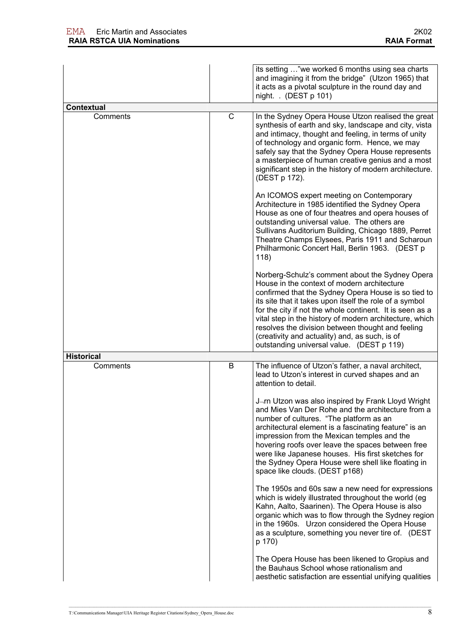|                   |   | its setting "we worked 6 months using sea charts<br>and imagining it from the bridge" (Utzon 1965) that<br>it acts as a pivotal sculpture in the round day and<br>night. . (DEST p 101)                                                                                                                                                                                                                                                                                                     |
|-------------------|---|---------------------------------------------------------------------------------------------------------------------------------------------------------------------------------------------------------------------------------------------------------------------------------------------------------------------------------------------------------------------------------------------------------------------------------------------------------------------------------------------|
| Contextual        |   |                                                                                                                                                                                                                                                                                                                                                                                                                                                                                             |
| Comments          | C | In the Sydney Opera House Utzon realised the great<br>synthesis of earth and sky, landscape and city, vista<br>and intimacy, thought and feeling, in terms of unity<br>of technology and organic form. Hence, we may<br>safely say that the Sydney Opera House represents<br>a masterpiece of human creative genius and a most<br>significant step in the history of modern architecture.<br>(DEST p 172).                                                                                  |
|                   |   | An ICOMOS expert meeting on Contemporary<br>Architecture in 1985 identified the Sydney Opera<br>House as one of four theatres and opera houses of<br>outstanding universal value. The others are<br>Sullivans Auditorium Building, Chicago 1889, Perret<br>Theatre Champs Elysees, Paris 1911 and Scharoun<br>Philharmonic Concert Hall, Berlin 1963. (DEST p<br>118)                                                                                                                       |
|                   |   | Norberg-Schulz's comment about the Sydney Opera<br>House in the context of modern architecture<br>confirmed that the Sydney Opera House is so tied to<br>its site that it takes upon itself the role of a symbol<br>for the city if not the whole continent. It is seen as a<br>vital step in the history of modern architecture, which<br>resolves the division between thought and feeling<br>(creativity and actuality) and, as such, is of<br>outstanding universal value. (DEST p 119) |
| <b>Historical</b> |   |                                                                                                                                                                                                                                                                                                                                                                                                                                                                                             |
| Comments          | B | The influence of Utzon's father, a naval architect,<br>lead to Utzon's interest in curved shapes and an<br>attention to detail.                                                                                                                                                                                                                                                                                                                                                             |
|                   |   | J-rn Utzon was also inspired by Frank Lloyd Wright<br>and Mies Van Der Rohe and the architecture from a<br>number of cultures. "The platform as an<br>architectural element is a fascinating feature" is an<br>impression from the Mexican temples and the<br>hovering roofs over leave the spaces between free<br>were like Japanese houses. His first sketches for<br>the Sydney Opera House were shell like floating in<br>space like clouds. (DEST p168)                                |
|                   |   | The 1950s and 60s saw a new need for expressions<br>which is widely illustrated throughout the world (eg<br>Kahn, Aalto, Saarinen). The Opera House is also<br>organic which was to flow through the Sydney region<br>in the 1960s. Urzon considered the Opera House<br>as a sculpture, something you never tire of. (DEST<br>p 170)                                                                                                                                                        |
|                   |   | The Opera House has been likened to Gropius and<br>the Bauhaus School whose rationalism and<br>aesthetic satisfaction are essential unifying qualities                                                                                                                                                                                                                                                                                                                                      |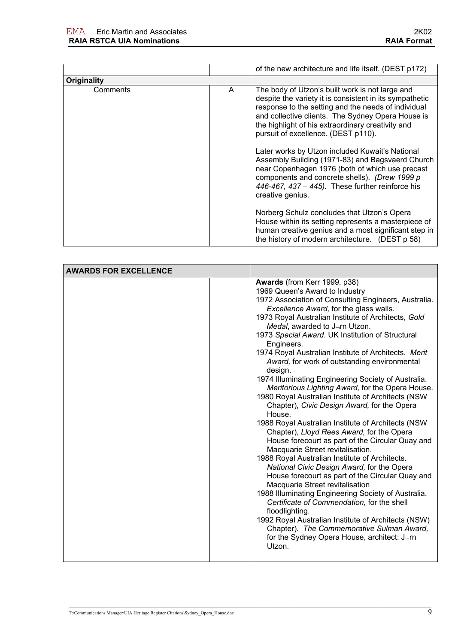|             |   | of the new architecture and life itself. (DEST p172)                                                                                                                                                                                                                                                                                                                                                                                                                                                                                                                                                                                                                                                                                                                 |
|-------------|---|----------------------------------------------------------------------------------------------------------------------------------------------------------------------------------------------------------------------------------------------------------------------------------------------------------------------------------------------------------------------------------------------------------------------------------------------------------------------------------------------------------------------------------------------------------------------------------------------------------------------------------------------------------------------------------------------------------------------------------------------------------------------|
| Originality |   |                                                                                                                                                                                                                                                                                                                                                                                                                                                                                                                                                                                                                                                                                                                                                                      |
| Comments    | A | The body of Utzon's built work is not large and<br>despite the variety it is consistent in its sympathetic<br>response to the setting and the needs of individual<br>and collective clients. The Sydney Opera House is<br>the highlight of his extraordinary creativity and<br>pursuit of excellence. (DEST p110).<br>Later works by Utzon included Kuwait's National<br>Assembly Building (1971-83) and Bagsvaerd Church<br>near Copenhagen 1976 (both of which use precast<br>components and concrete shells). (Drew 1999 p<br>446-467, 437 - 445). These further reinforce his<br>creative genius.<br>Norberg Schulz concludes that Utzon's Opera<br>House within its setting represents a masterpiece of<br>human creative genius and a most significant step in |
|             |   | the history of modern architecture. (DEST p 58)                                                                                                                                                                                                                                                                                                                                                                                                                                                                                                                                                                                                                                                                                                                      |

| <b>AWARDS FOR EXCELLENCE</b> |                                                                                                                                                                                                                                                                                                                                                                                                                                                                                                                                                                                                                                                                                                                                                                                                                                                                                                                                                                                                                                                                                                                  |  |
|------------------------------|------------------------------------------------------------------------------------------------------------------------------------------------------------------------------------------------------------------------------------------------------------------------------------------------------------------------------------------------------------------------------------------------------------------------------------------------------------------------------------------------------------------------------------------------------------------------------------------------------------------------------------------------------------------------------------------------------------------------------------------------------------------------------------------------------------------------------------------------------------------------------------------------------------------------------------------------------------------------------------------------------------------------------------------------------------------------------------------------------------------|--|
|                              | Awards (from Kerr 1999, p38)<br>1969 Queen's Award to Industry<br>1972 Association of Consulting Engineers, Australia.<br>Excellence Award, for the glass walls.<br>1973 Royal Australian Institute of Architects, Gold<br>Medal, awarded to J-rn Utzon.<br>1973 Special Award. UK Institution of Structural<br>Engineers.<br>1974 Royal Australian Institute of Architects. Merit<br>Award, for work of outstanding environmental<br>design.<br>1974 Illuminating Engineering Society of Australia.<br>Meritorious Lighting Award, for the Opera House.<br>1980 Royal Australian Institute of Architects (NSW<br>Chapter), Civic Design Award, for the Opera<br>House.<br>1988 Royal Australian Institute of Architects (NSW<br>Chapter), Lloyd Rees Award, for the Opera<br>House forecourt as part of the Circular Quay and<br>Macquarie Street revitalisation.<br>1988 Royal Australian Institute of Architects.<br>National Civic Design Award, for the Opera<br>House forecourt as part of the Circular Quay and<br>Macquarie Street revitalisation<br>1988 Illuminating Engineering Society of Australia. |  |
|                              | Certificate of Commendation, for the shell<br>floodlighting.<br>1992 Royal Australian Institute of Architects (NSW)<br>Chapter). The Commemorative Sulman Award,                                                                                                                                                                                                                                                                                                                                                                                                                                                                                                                                                                                                                                                                                                                                                                                                                                                                                                                                                 |  |
|                              | for the Sydney Opera House, architect: J-rn<br>Utzon.                                                                                                                                                                                                                                                                                                                                                                                                                                                                                                                                                                                                                                                                                                                                                                                                                                                                                                                                                                                                                                                            |  |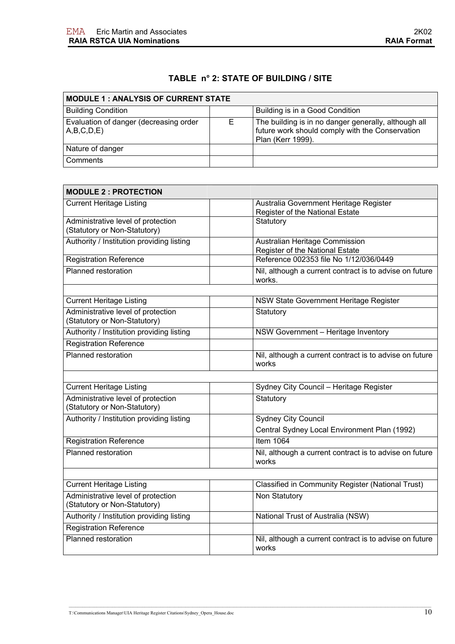## **TABLE n° 2: STATE OF BUILDING / SITE**

| <b>MODULE 1: ANALYSIS OF CURRENT STATE</b>           |  |                                                                                                                              |
|------------------------------------------------------|--|------------------------------------------------------------------------------------------------------------------------------|
| <b>Building Condition</b>                            |  | Building is in a Good Condition                                                                                              |
| Evaluation of danger (decreasing order<br>A,B,C,D,E) |  | The building is in no danger generally, although all<br>future work should comply with the Conservation<br>Plan (Kerr 1999). |
| Nature of danger                                     |  |                                                                                                                              |
| Comments                                             |  |                                                                                                                              |

| <b>MODULE 2 : PROTECTION</b>                                       |                                                                           |
|--------------------------------------------------------------------|---------------------------------------------------------------------------|
| <b>Current Heritage Listing</b>                                    | Australia Government Heritage Register<br>Register of the National Estate |
| Administrative level of protection<br>(Statutory or Non-Statutory) | Statutory                                                                 |
| Authority / Institution providing listing                          | Australian Heritage Commission<br>Register of the National Estate         |
| Registration Reference                                             | Reference 002353 file No 1/12/036/0449                                    |
| Planned restoration                                                | Nil, although a current contract is to advise on future<br>works.         |
| <b>Current Heritage Listing</b>                                    | NSW State Government Heritage Register                                    |
|                                                                    |                                                                           |
| Administrative level of protection<br>(Statutory or Non-Statutory) | Statutory                                                                 |
| Authority / Institution providing listing                          | NSW Government - Heritage Inventory                                       |
| Registration Reference                                             |                                                                           |
| <b>Planned restoration</b>                                         | Nil, although a current contract is to advise on future<br>works          |
|                                                                    |                                                                           |
| <b>Current Heritage Listing</b>                                    | Sydney City Council - Heritage Register                                   |
| Administrative level of protection<br>(Statutory or Non-Statutory) | Statutory                                                                 |
| Authority / Institution providing listing                          | <b>Sydney City Council</b>                                                |
|                                                                    | Central Sydney Local Environment Plan (1992)                              |
| <b>Registration Reference</b>                                      | <b>Item 1064</b>                                                          |
| Planned restoration                                                | Nil, although a current contract is to advise on future<br>works          |
|                                                                    |                                                                           |
| <b>Current Heritage Listing</b>                                    | Classified in Community Register (National Trust)                         |
| Administrative level of protection<br>(Statutory or Non-Statutory) | Non Statutory                                                             |
| Authority / Institution providing listing                          | National Trust of Australia (NSW)                                         |
| <b>Registration Reference</b>                                      |                                                                           |
| Planned restoration                                                | Nil, although a current contract is to advise on future<br>works          |

T:\Communications Manager\UIA Heritage Register Citations\Sydney\_Opera\_House.doc  $10$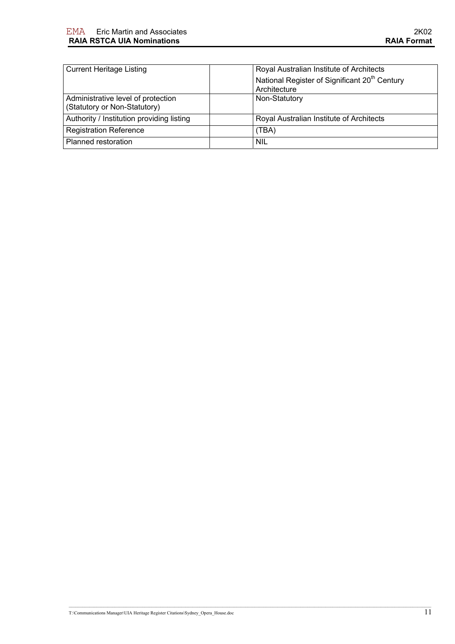| <b>Current Heritage Listing</b>           | Royal Australian Institute of Architects                  |
|-------------------------------------------|-----------------------------------------------------------|
|                                           | National Register of Significant 20 <sup>th</sup> Century |
|                                           | Architecture                                              |
| Administrative level of protection        | Non-Statutory                                             |
| (Statutory or Non-Statutory)              |                                                           |
| Authority / Institution providing listing | Royal Australian Institute of Architects                  |
| <b>Registration Reference</b>             | (TBA)                                                     |
| Planned restoration                       | <b>NIL</b>                                                |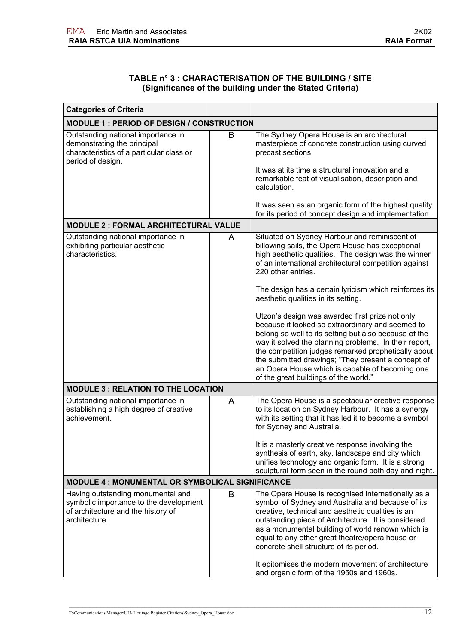| TABLE n° 3 : CHARACTERISATION OF THE BUILDING / SITE     |
|----------------------------------------------------------|
| (Significance of the building under the Stated Criteria) |

| <b>Categories of Criteria</b>                                                                                                      |   |                                                                                                                                                                                                                                                                                                                                                                                                                                                                         |
|------------------------------------------------------------------------------------------------------------------------------------|---|-------------------------------------------------------------------------------------------------------------------------------------------------------------------------------------------------------------------------------------------------------------------------------------------------------------------------------------------------------------------------------------------------------------------------------------------------------------------------|
| <b>MODULE 1: PERIOD OF DESIGN / CONSTRUCTION</b>                                                                                   |   |                                                                                                                                                                                                                                                                                                                                                                                                                                                                         |
| Outstanding national importance in<br>demonstrating the principal<br>characteristics of a particular class or<br>period of design. | B | The Sydney Opera House is an architectural<br>masterpiece of concrete construction using curved<br>precast sections.<br>It was at its time a structural innovation and a<br>remarkable feat of visualisation, description and<br>calculation.<br>It was seen as an organic form of the highest quality                                                                                                                                                                  |
|                                                                                                                                    |   | for its period of concept design and implementation.                                                                                                                                                                                                                                                                                                                                                                                                                    |
| <b>MODULE 2 : FORMAL ARCHITECTURAL VALUE</b>                                                                                       |   |                                                                                                                                                                                                                                                                                                                                                                                                                                                                         |
| Outstanding national importance in<br>exhibiting particular aesthetic<br>characteristics.                                          | A | Situated on Sydney Harbour and reminiscent of<br>billowing sails, the Opera House has exceptional<br>high aesthetic qualities. The design was the winner<br>of an international architectural competition against<br>220 other entries.                                                                                                                                                                                                                                 |
|                                                                                                                                    |   | The design has a certain lyricism which reinforces its<br>aesthetic qualities in its setting.                                                                                                                                                                                                                                                                                                                                                                           |
|                                                                                                                                    |   | Utzon's design was awarded first prize not only<br>because it looked so extraordinary and seemed to<br>belong so well to its setting but also because of the<br>way it solved the planning problems. In their report,<br>the competition judges remarked prophetically about<br>the submitted drawings; "They present a concept of<br>an Opera House which is capable of becoming one<br>of the great buildings of the world."                                          |
| <b>MODULE 3: RELATION TO THE LOCATION</b>                                                                                          |   |                                                                                                                                                                                                                                                                                                                                                                                                                                                                         |
| Outstanding national importance in<br>establishing a high degree of creative<br>achievement.                                       | A | The Opera House is a spectacular creative response<br>to its location on Sydney Harbour. It has a synergy<br>with its setting that it has led it to become a symbol<br>for Sydney and Australia.<br>It is a masterly creative response involving the<br>synthesis of earth, sky, landscape and city which<br>unifies technology and organic form. It is a strong<br>sculptural form seen in the round both day and night.                                               |
| MODULE 4 : MONUMENTAL OR SYMBOLICAL SIGNIFICANCE                                                                                   |   |                                                                                                                                                                                                                                                                                                                                                                                                                                                                         |
| Having outstanding monumental and<br>symbolic importance to the development<br>of architecture and the history of<br>architecture. | B | The Opera House is recognised internationally as a<br>symbol of Sydney and Australia and because of its<br>creative, technical and aesthetic qualities is an<br>outstanding piece of Architecture. It is considered<br>as a monumental building of world renown which is<br>equal to any other great theatre/opera house or<br>concrete shell structure of its period.<br>It epitomises the modern movement of architecture<br>and organic form of the 1950s and 1960s. |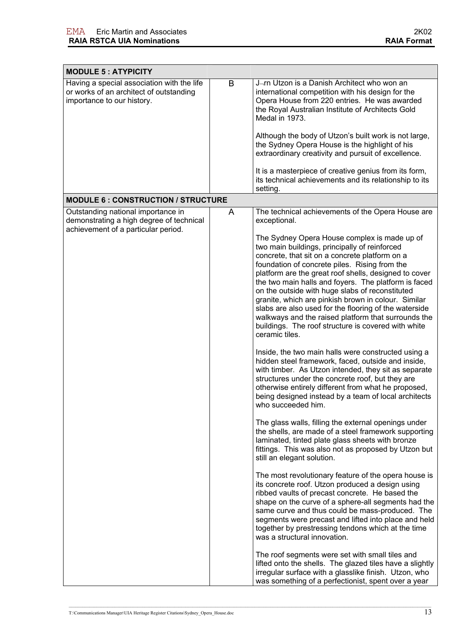| <b>MODULE 5: ATYPICITY</b>                                                                                            |   |                                                                                                                                                                                                                                                                                                                                                                                                                                                                                                                                                                                                                                                                                                                                                                                                                                                                                                                                                                                                                                                                                                                                                                                                                                                                                                                                                                                                                                                                                  |
|-----------------------------------------------------------------------------------------------------------------------|---|----------------------------------------------------------------------------------------------------------------------------------------------------------------------------------------------------------------------------------------------------------------------------------------------------------------------------------------------------------------------------------------------------------------------------------------------------------------------------------------------------------------------------------------------------------------------------------------------------------------------------------------------------------------------------------------------------------------------------------------------------------------------------------------------------------------------------------------------------------------------------------------------------------------------------------------------------------------------------------------------------------------------------------------------------------------------------------------------------------------------------------------------------------------------------------------------------------------------------------------------------------------------------------------------------------------------------------------------------------------------------------------------------------------------------------------------------------------------------------|
| Having a special association with the life<br>or works of an architect of outstanding<br>importance to our history.   | B | J-rn Utzon is a Danish Architect who won an<br>international competition with his design for the<br>Opera House from 220 entries. He was awarded<br>the Royal Australian Institute of Architects Gold<br>Medal in 1973.<br>Although the body of Utzon's built work is not large,<br>the Sydney Opera House is the highlight of his<br>extraordinary creativity and pursuit of excellence.                                                                                                                                                                                                                                                                                                                                                                                                                                                                                                                                                                                                                                                                                                                                                                                                                                                                                                                                                                                                                                                                                        |
|                                                                                                                       |   | It is a masterpiece of creative genius from its form,<br>its technical achievements and its relationship to its<br>setting.                                                                                                                                                                                                                                                                                                                                                                                                                                                                                                                                                                                                                                                                                                                                                                                                                                                                                                                                                                                                                                                                                                                                                                                                                                                                                                                                                      |
| <b>MODULE 6: CONSTRUCTION / STRUCTURE</b>                                                                             |   |                                                                                                                                                                                                                                                                                                                                                                                                                                                                                                                                                                                                                                                                                                                                                                                                                                                                                                                                                                                                                                                                                                                                                                                                                                                                                                                                                                                                                                                                                  |
| Outstanding national importance in<br>demonstrating a high degree of technical<br>achievement of a particular period. | A | The technical achievements of the Opera House are<br>exceptional.<br>The Sydney Opera House complex is made up of<br>two main buildings, principally of reinforced<br>concrete, that sit on a concrete platform on a<br>foundation of concrete piles. Rising from the<br>platform are the great roof shells, designed to cover<br>the two main halls and foyers. The platform is faced<br>on the outside with huge slabs of reconstituted<br>granite, which are pinkish brown in colour. Similar<br>slabs are also used for the flooring of the waterside<br>walkways and the raised platform that surrounds the<br>buildings. The roof structure is covered with white<br>ceramic tiles.<br>Inside, the two main halls were constructed using a<br>hidden steel framework, faced, outside and inside,<br>with timber. As Utzon intended, they sit as separate<br>structures under the concrete roof, but they are<br>otherwise entirely different from what he proposed,<br>being designed instead by a team of local architects<br>who succeeded him.<br>The glass walls, filling the external openings under<br>the shells, are made of a steel framework supporting<br>laminated, tinted plate glass sheets with bronze<br>fittings. This was also not as proposed by Utzon but<br>still an elegant solution.<br>The most revolutionary feature of the opera house is<br>its concrete roof. Utzon produced a design using<br>ribbed vaults of precast concrete. He based the |
|                                                                                                                       |   | shape on the curve of a sphere-all segments had the<br>same curve and thus could be mass-produced. The<br>segments were precast and lifted into place and held<br>together by prestressing tendons which at the time<br>was a structural innovation.<br>The roof segments were set with small tiles and<br>lifted onto the shells. The glazed tiles have a slightly<br>irregular surface with a glasslike finish. Utzon, who<br>was something of a perfectionist, spent over a year                                                                                                                                                                                                                                                                                                                                                                                                                                                                                                                                                                                                                                                                                                                                                                                                                                                                                                                                                                                              |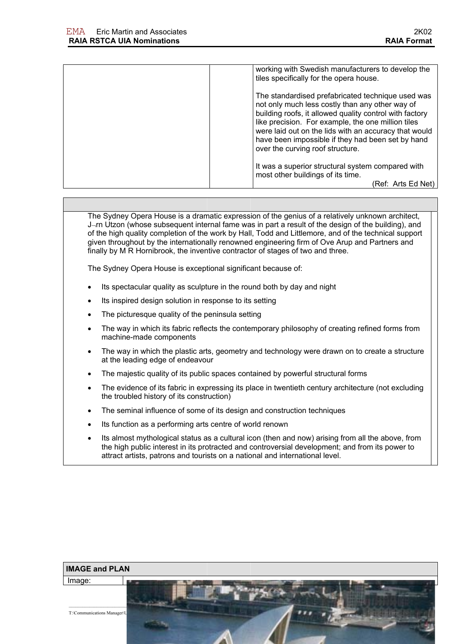| working with Swedish manufacturers to develop the<br>tiles specifically for the opera house.                                                                                                                                                                                                                                                                            |
|-------------------------------------------------------------------------------------------------------------------------------------------------------------------------------------------------------------------------------------------------------------------------------------------------------------------------------------------------------------------------|
| The standardised prefabricated technique used was<br>not only much less costly than any other way of<br>building roofs, it allowed quality control with factory<br>like precision. For example, the one million tiles<br>were laid out on the lids with an accuracy that would<br>have been impossible if they had been set by hand<br>over the curving roof structure. |
| It was a superior structural system compared with<br>most other buildings of its time.                                                                                                                                                                                                                                                                                  |
| (Ref: Arts Ed Net)                                                                                                                                                                                                                                                                                                                                                      |

The Sydney Opera House is a dramatic expression of the genius of a relatively unknown architect, J¬rn Utzon (whose subsequent internal fame was in part a result of the design of the building), and of the high quality completion of the work by Hall, Todd and Littlemore, and of the technical support given throughout by the internationally renowned engineering firm of Ove Arup and Partners and finally by M R Hornibrook, the inventive contractor of stages of two and three.

The Sydney Opera House is exceptional significant because of:

- Its spectacular quality as sculpture in the round both by day and night
- Its inspired design solution in response to its setting
- The picturesque quality of the peninsula setting
- The way in which its fabric reflects the contemporary philosophy of creating refined forms from machine-made components
- The way in which the plastic arts, geometry and technology were drawn on to create a structure at the leading edge of endeavour
- The majestic quality of its public spaces contained by powerful structural forms
- The evidence of its fabric in expressing its place in twentieth century architecture (not excluding the troubled history of its construction)
- The seminal influence of some of its design and construction techniques
- Its function as a performing arts centre of world renown
- Its almost mythological status as a cultural icon (then and now) arising from all the above, from the high public interest in its protracted and controversial development; and from its power to attract artists, patrons and tourists on a national and international level.

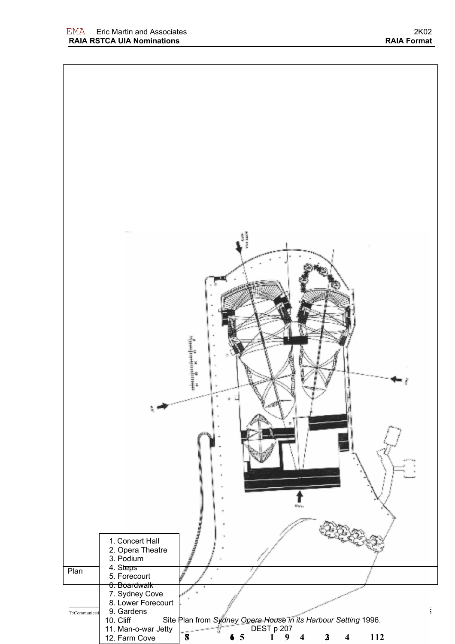